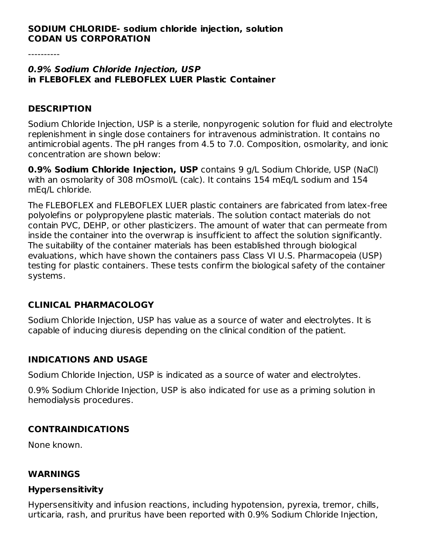#### **SODIUM CHLORIDE- sodium chloride injection, solution CODAN US CORPORATION**

#### **0.9% Sodium Chloride Injection, USP in FLEBOFLEX and FLEBOFLEX LUER Plastic Container**

#### **DESCRIPTION**

Sodium Chloride Injection, USP is a sterile, nonpyrogenic solution for fluid and electrolyte replenishment in single dose containers for intravenous administration. It contains no antimicrobial agents. The pH ranges from 4.5 to 7.0. Composition, osmolarity, and ionic concentration are shown below:

**0.9% Sodium Chloride Injection, USP** contains 9 g/L Sodium Chloride, USP (NaCl) with an osmolarity of 308 mOsmol/L (calc). It contains 154 mEq/L sodium and 154 mEq/L chloride.

The FLEBOFLEX and FLEBOFLEX LUER plastic containers are fabricated from latex-free polyolefins or polypropylene plastic materials. The solution contact materials do not contain PVC, DEHP, or other plasticizers. The amount of water that can permeate from inside the container into the overwrap is insufficient to affect the solution significantly. The suitability of the container materials has been established through biological evaluations, which have shown the containers pass Class VI U.S. Pharmacopeia (USP) testing for plastic containers. These tests confirm the biological safety of the container systems.

### **CLINICAL PHARMACOLOGY**

Sodium Chloride Injection, USP has value as a source of water and electrolytes. It is capable of inducing diuresis depending on the clinical condition of the patient.

### **INDICATIONS AND USAGE**

Sodium Chloride Injection, USP is indicated as a source of water and electrolytes.

0.9% Sodium Chloride Injection, USP is also indicated for use as a priming solution in hemodialysis procedures.

### **CONTRAINDICATIONS**

None known.

### **WARNINGS**

#### **Hypersensitivity**

Hypersensitivity and infusion reactions, including hypotension, pyrexia, tremor, chills, urticaria, rash, and pruritus have been reported with 0.9% Sodium Chloride Injection,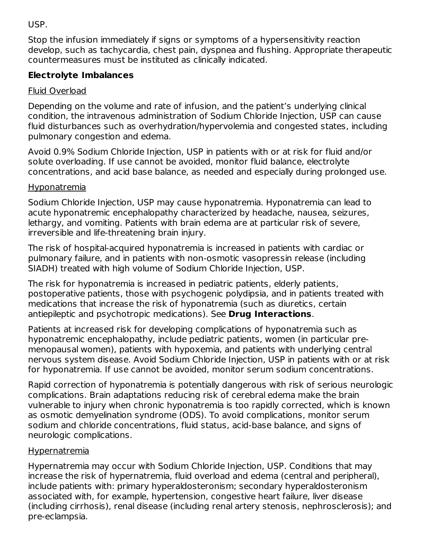USP.

Stop the infusion immediately if signs or symptoms of a hypersensitivity reaction develop, such as tachycardia, chest pain, dyspnea and flushing. Appropriate therapeutic countermeasures must be instituted as clinically indicated.

## **Electrolyte Imbalances**

### Fluid Overload

Depending on the volume and rate of infusion, and the patient's underlying clinical condition, the intravenous administration of Sodium Chloride Injection, USP can cause fluid disturbances such as overhydration/hypervolemia and congested states, including pulmonary congestion and edema.

Avoid 0.9% Sodium Chloride Injection, USP in patients with or at risk for fluid and/or solute overloading. If use cannot be avoided, monitor fluid balance, electrolyte concentrations, and acid base balance, as needed and especially during prolonged use.

### Hyponatremia

Sodium Chloride Injection, USP may cause hyponatremia. Hyponatremia can lead to acute hyponatremic encephalopathy characterized by headache, nausea, seizures, lethargy, and vomiting. Patients with brain edema are at particular risk of severe, irreversible and life-threatening brain injury.

The risk of hospital-acquired hyponatremia is increased in patients with cardiac or pulmonary failure, and in patients with non-osmotic vasopressin release (including SIADH) treated with high volume of Sodium Chloride Injection, USP.

The risk for hyponatremia is increased in pediatric patients, elderly patients, postoperative patients, those with psychogenic polydipsia, and in patients treated with medications that increase the risk of hyponatremia (such as diuretics, certain antiepileptic and psychotropic medications). See **Drug Interactions**.

Patients at increased risk for developing complications of hyponatremia such as hyponatremic encephalopathy, include pediatric patients, women (in particular premenopausal women), patients with hypoxemia, and patients with underlying central nervous system disease. Avoid Sodium Chloride Injection, USP in patients with or at risk for hyponatremia. If use cannot be avoided, monitor serum sodium concentrations.

Rapid correction of hyponatremia is potentially dangerous with risk of serious neurologic complications. Brain adaptations reducing risk of cerebral edema make the brain vulnerable to injury when chronic hyponatremia is too rapidly corrected, which is known as osmotic demyelination syndrome (ODS). To avoid complications, monitor serum sodium and chloride concentrations, fluid status, acid-base balance, and signs of neurologic complications.

### Hypernatremia

Hypernatremia may occur with Sodium Chloride Injection, USP. Conditions that may increase the risk of hypernatremia, fluid overload and edema (central and peripheral), include patients with: primary hyperaldosteronism; secondary hyperaldosteronism associated with, for example, hypertension, congestive heart failure, liver disease (including cirrhosis), renal disease (including renal artery stenosis, nephrosclerosis); and pre-eclampsia.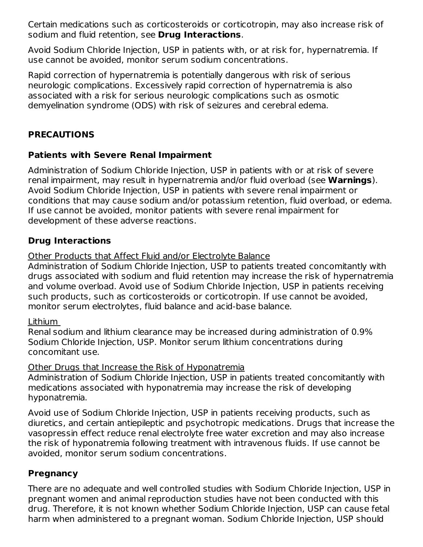Certain medications such as corticosteroids or corticotropin, may also increase risk of sodium and fluid retention, see **Drug Interactions**.

Avoid Sodium Chloride Injection, USP in patients with, or at risk for, hypernatremia. If use cannot be avoided, monitor serum sodium concentrations.

Rapid correction of hypernatremia is potentially dangerous with risk of serious neurologic complications. Excessively rapid correction of hypernatremia is also associated with a risk for serious neurologic complications such as osmotic demyelination syndrome (ODS) with risk of seizures and cerebral edema.

### **PRECAUTIONS**

### **Patients with Severe Renal Impairment**

Administration of Sodium Chloride Injection, USP in patients with or at risk of severe renal impairment, may result in hypernatremia and/or fluid overload (see **Warnings**). Avoid Sodium Chloride Injection, USP in patients with severe renal impairment or conditions that may cause sodium and/or potassium retention, fluid overload, or edema. If use cannot be avoided, monitor patients with severe renal impairment for development of these adverse reactions.

## **Drug Interactions**

### Other Products that Affect Fluid and/or Electrolyte Balance

Administration of Sodium Chloride Injection, USP to patients treated concomitantly with drugs associated with sodium and fluid retention may increase the risk of hypernatremia and volume overload. Avoid use of Sodium Chloride Injection, USP in patients receiving such products, such as corticosteroids or corticotropin. If use cannot be avoided, monitor serum electrolytes, fluid balance and acid-base balance.

### Lithium

Renal sodium and lithium clearance may be increased during administration of 0.9% Sodium Chloride Injection, USP. Monitor serum lithium concentrations during concomitant use.

### Other Drugs that Increase the Risk of Hyponatremia

Administration of Sodium Chloride Injection, USP in patients treated concomitantly with medications associated with hyponatremia may increase the risk of developing hyponatremia.

Avoid use of Sodium Chloride Injection, USP in patients receiving products, such as diuretics, and certain antiepileptic and psychotropic medications. Drugs that increase the vasopressin effect reduce renal electrolyte free water excretion and may also increase the risk of hyponatremia following treatment with intravenous fluids. If use cannot be avoided, monitor serum sodium concentrations.

### **Pregnancy**

There are no adequate and well controlled studies with Sodium Chloride Injection, USP in pregnant women and animal reproduction studies have not been conducted with this drug. Therefore, it is not known whether Sodium Chloride Injection, USP can cause fetal harm when administered to a pregnant woman. Sodium Chloride Injection, USP should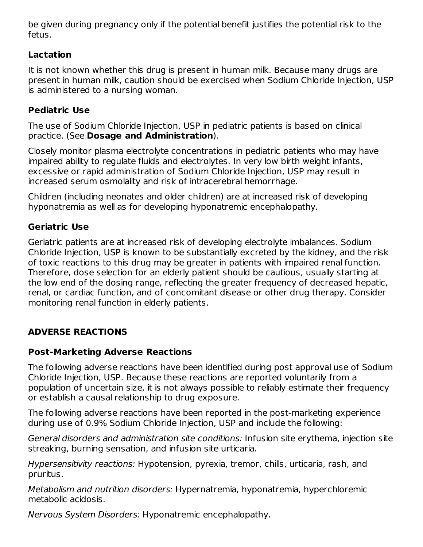be given during pregnancy only if the potential benefit justifies the potential risk to the fetus.

## **Lactation**

It is not known whether this drug is present in human milk. Because many drugs are present in human milk, caution should be exercised when Sodium Chloride Injection, USP is administered to a nursing woman.

### **Pediatric Use**

The use of Sodium Chloride Injection, USP in pediatric patients is based on clinical practice. (See **Dosage and Administration**).

Closely monitor plasma electrolyte concentrations in pediatric patients who may have impaired ability to regulate fluids and electrolytes. In very low birth weight infants, excessive or rapid administration of Sodium Chloride Injection, USP may result in increased serum osmolality and risk of intracerebral hemorrhage.

Children (including neonates and older children) are at increased risk of developing hyponatremia as well as for developing hyponatremic encephalopathy.

## **Geriatric Use**

Geriatric patients are at increased risk of developing electrolyte imbalances. Sodium Chloride Injection, USP is known to be substantially excreted by the kidney, and the risk of toxic reactions to this drug may be greater in patients with impaired renal function. Therefore, dose selection for an elderly patient should be cautious, usually starting at the low end of the dosing range, reflecting the greater frequency of decreased hepatic, renal, or cardiac function, and of concomitant disease or other drug therapy. Consider monitoring renal function in elderly patients.

# **ADVERSE REACTIONS**

## **Post-Marketing Adverse Reactions**

The following adverse reactions have been identified during post approval use of Sodium Chloride Injection, USP. Because these reactions are reported voluntarily from a population of uncertain size, it is not always possible to reliably estimate their frequency or establish a causal relationship to drug exposure.

The following adverse reactions have been reported in the post-marketing experience during use of 0.9% Sodium Chloride Injection, USP and include the following:

General disorders and administration site conditions: Infusion site erythema, injection site streaking, burning sensation, and infusion site urticaria.

Hypersensitivity reactions: Hypotension, pyrexia, tremor, chills, urticaria, rash, and pruritus.

Metabolism and nutrition disorders: Hypernatremia, hyponatremia, hyperchloremic metabolic acidosis.

Nervous System Disorders: Hyponatremic encephalopathy.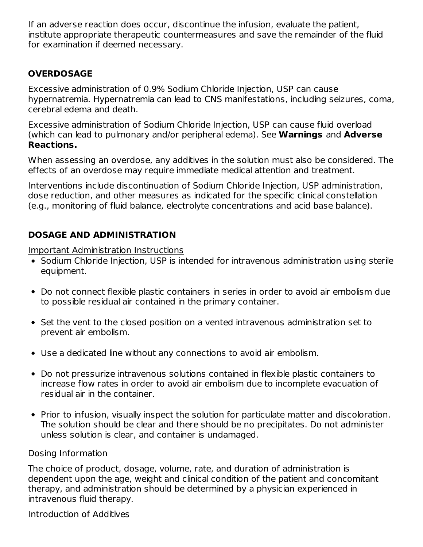If an adverse reaction does occur, discontinue the infusion, evaluate the patient, institute appropriate therapeutic countermeasures and save the remainder of the fluid for examination if deemed necessary.

### **OVERDOSAGE**

Excessive administration of 0.9% Sodium Chloride Injection, USP can cause hypernatremia. Hypernatremia can lead to CNS manifestations, including seizures, coma, cerebral edema and death.

Excessive administration of Sodium Chloride Injection, USP can cause fluid overload (which can lead to pulmonary and/or peripheral edema). See **Warnings** and **Adverse Reactions.**

When assessing an overdose, any additives in the solution must also be considered. The effects of an overdose may require immediate medical attention and treatment.

Interventions include discontinuation of Sodium Chloride Injection, USP administration, dose reduction, and other measures as indicated for the specific clinical constellation (e.g., monitoring of fluid balance, electrolyte concentrations and acid base balance).

## **DOSAGE AND ADMINISTRATION**

Important Administration Instructions

- Sodium Chloride Injection, USP is intended for intravenous administration using sterile equipment.
- Do not connect flexible plastic containers in series in order to avoid air embolism due to possible residual air contained in the primary container.
- Set the vent to the closed position on a vented intravenous administration set to prevent air embolism.
- Use a dedicated line without any connections to avoid air embolism.
- Do not pressurize intravenous solutions contained in flexible plastic containers to increase flow rates in order to avoid air embolism due to incomplete evacuation of residual air in the container.
- Prior to infusion, visually inspect the solution for particulate matter and discoloration. The solution should be clear and there should be no precipitates. Do not administer unless solution is clear, and container is undamaged.

### Dosing Information

The choice of product, dosage, volume, rate, and duration of administration is dependent upon the age, weight and clinical condition of the patient and concomitant therapy, and administration should be determined by a physician experienced in intravenous fluid therapy.

Introduction of Additives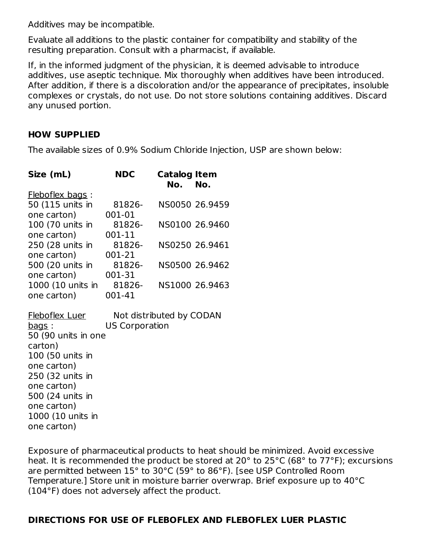Additives may be incompatible.

Evaluate all additions to the plastic container for compatibility and stability of the resulting preparation. Consult with a pharmacist, if available.

If, in the informed judgment of the physician, it is deemed advisable to introduce additives, use aseptic technique. Mix thoroughly when additives have been introduced. After addition, if there is a discoloration and/or the appearance of precipitates, insoluble complexes or crystals, do not use. Do not store solutions containing additives. Discard any unused portion.

#### **HOW SUPPLIED**

The available sizes of 0.9% Sodium Chloride Injection, USP are shown below:

| Size (mL)              | <b>NDC</b>               | <b>Catalog Item</b><br>No. | No.            |
|------------------------|--------------------------|----------------------------|----------------|
| <b>Fleboflex bags:</b> |                          |                            |                |
| 50 (115 units in       | 81826-                   |                            | NS0050 26.9459 |
| one carton)            | 001-01                   |                            |                |
| 100 (70 units in       | 81826-                   |                            | NS0100 26.9460 |
| one carton)            | 001-11                   |                            |                |
| 250 (28 units in       | 81826-                   |                            | NS0250 26.9461 |
| one carton)            | 001-21                   |                            |                |
| 500 (20 units in       | 81826-                   |                            | NS0500 26.9462 |
| one carton)            | 001-31                   |                            |                |
| 1000 (10 units in      | 81826-                   |                            | NS1000 26.9463 |
| one carton)            | 001-41                   |                            |                |
| <b>Fleboflex Luer</b>  | Not distributed by CODAN |                            |                |
| <u>bags</u> :          | <b>US Corporation</b>    |                            |                |
| 50 (90 units in one    |                          |                            |                |
| carton)                |                          |                            |                |
| 100 (50 units in       |                          |                            |                |
| one carton)            |                          |                            |                |
| 250 (32 units in       |                          |                            |                |
| one carton)            |                          |                            |                |
| 500 (24 units in       |                          |                            |                |
| one carton)            |                          |                            |                |
| 1000 (10 units in      |                          |                            |                |
| one carton)            |                          |                            |                |

Exposure of pharmaceutical products to heat should be minimized. Avoid excessive heat. It is recommended the product be stored at 20° to 25°C (68° to 77°F); excursions are permitted between 15° to 30°C (59° to 86°F). [see USP Controlled Room Temperature.] Store unit in moisture barrier overwrap. Brief exposure up to 40°C (104°F) does not adversely affect the product.

### **DIRECTIONS FOR USE OF FLEBOFLEX AND FLEBOFLEX LUER PLASTIC**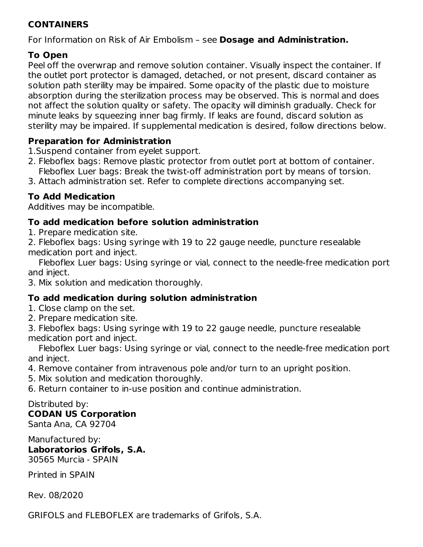### **CONTAINERS**

For Information on Risk of Air Embolism – see **Dosage and Administration.**

## **To Open**

Peel off the overwrap and remove solution container. Visually inspect the container. If the outlet port protector is damaged, detached, or not present, discard container as solution path sterility may be impaired. Some opacity of the plastic due to moisture absorption during the sterilization process may be observed. This is normal and does not affect the solution quality or safety. The opacity will diminish gradually. Check for minute leaks by squeezing inner bag firmly. If leaks are found, discard solution as sterility may be impaired. If supplemental medication is desired, follow directions below.

### **Preparation for Administration**

1.Suspend container from eyelet support.

- 2. Fleboflex bags: Remove plastic protector from outlet port at bottom of container. Fleboflex Luer bags: Break the twist-off administration port by means of torsion.
- 3. Attach administration set. Refer to complete directions accompanying set.

### **To Add Medication**

Additives may be incompatible.

### **To add medication before solution administration**

- 1. Prepare medication site.
- 2. Fleboflex bags: Using syringe with 19 to 22 gauge needle, puncture resealable medication port and inject.

Fleboflex Luer bags: Using syringe or vial, connect to the needle-free medication port and inject.

3. Mix solution and medication thoroughly.

### **To add medication during solution administration**

- 1. Close clamp on the set.
- 2. Prepare medication site.

3. Fleboflex bags: Using syringe with 19 to 22 gauge needle, puncture resealable medication port and inject.

Fleboflex Luer bags: Using syringe or vial, connect to the needle-free medication port and inject.

- 4. Remove container from intravenous pole and/or turn to an upright position.
- 5. Mix solution and medication thoroughly.
- 6. Return container to in-use position and continue administration.

#### Distributed by: **CODAN US Corporation**

Santa Ana, CA 92704

Manufactured by: **Laboratorios Grifols, S.A.** 30565 Murcia - SPAIN

Printed in SPAIN

Rev. 08/2020

GRIFOLS and FLEBOFLEX are trademarks of Grifols, S.A.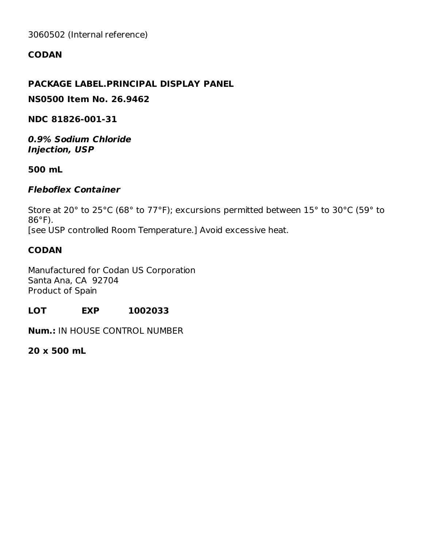3060502 (Internal reference)

### **CODAN**

### **PACKAGE LABEL.PRINCIPAL DISPLAY PANEL**

**NS0500 Item No. 26.9462**

**NDC 81826-001-31**

**0.9% Sodium Chloride Injection, USP**

**500 mL**

#### **Fleboflex Container**

Store at 20° to 25°C (68° to 77°F); excursions permitted between 15° to 30°C (59° to 86°F). [see USP controlled Room Temperature.] Avoid excessive heat.

### **CODAN**

Manufactured for Codan US Corporation Santa Ana, CA 92704 Product of Spain

#### **LOT EXP 1002033**

**Num.:** IN HOUSE CONTROL NUMBER

**20 x 500 mL**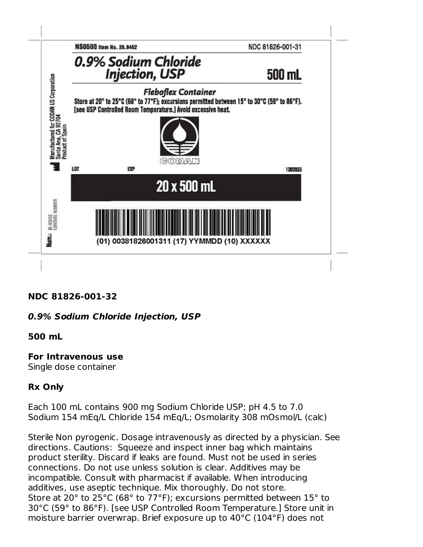

### **NDC 81826-001-32**

### **0.9% Sodium Chloride Injection, USP**

#### **500 mL**

### **For Intravenous use**

Single dose container

### **Rx Only**

Each 100 mL contains 900 mg Sodium Chloride USP; pH 4.5 to 7.0 Sodium 154 mEq/L Chloride 154 mEq/L; Osmolarity 308 mOsmol/L (calc)

Sterile Non pyrogenic. Dosage intravenously as directed by a physician. See directions. Cautions: Squeeze and inspect inner bag which maintains product sterility. Discard if leaks are found. Must not be used in series connections. Do not use unless solution is clear. Additives may be incompatible. Consult with pharmacist if available. When introducing additives, use aseptic technique. Mix thoroughly. Do not store. Store at 20° to 25°C (68° to 77°F); excursions permitted between 15° to 30°C (59° to 86°F). [see USP Controlled Room Temperature.] Store unit in moisture barrier overwrap. Brief exposure up to 40°C (104°F) does not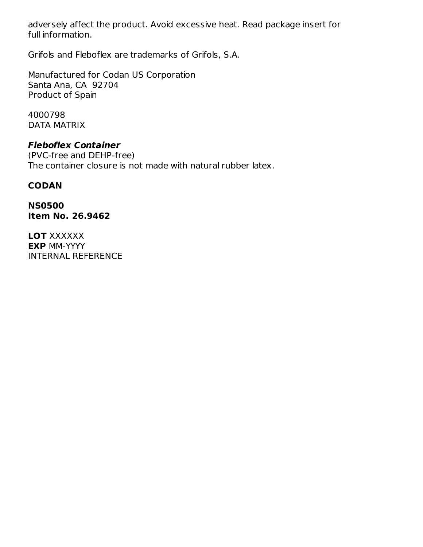adversely affect the product. Avoid excessive heat. Read package insert for full information.

Grifols and Fleboflex are trademarks of Grifols, S.A.

Manufactured for Codan US Corporation Santa Ana, CA 92704 Product of Spain

4000798 DATA MATRIX

### **Fleboflex Container**

(PVC-free and DEHP-free) The container closure is not made with natural rubber latex.

### **CODAN**

**NS0500 Item No. 26.9462**

LOT XXXXXX **EXP** MM-YYYY INTERNAL REFERENCE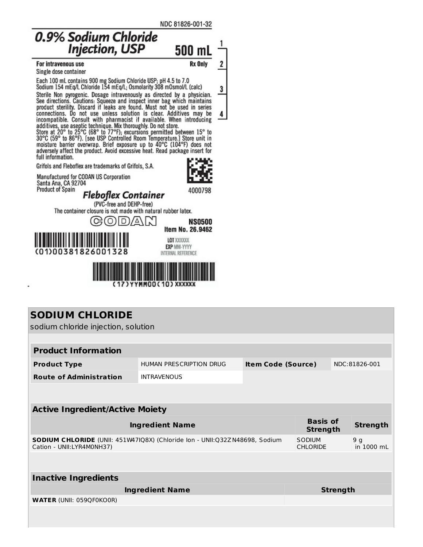NDC 81826-001-32



| sodium chloride injection, solution                                                                            |                         |                           |                                    |  |                              |
|----------------------------------------------------------------------------------------------------------------|-------------------------|---------------------------|------------------------------------|--|------------------------------|
|                                                                                                                |                         |                           |                                    |  |                              |
| <b>Product Information</b>                                                                                     |                         |                           |                                    |  |                              |
| <b>Product Type</b>                                                                                            | HUMAN PRESCRIPTION DRUG | <b>Item Code (Source)</b> |                                    |  | NDC:81826-001                |
| <b>Route of Administration</b>                                                                                 | <b>INTRAVENOUS</b>      |                           |                                    |  |                              |
|                                                                                                                |                         |                           |                                    |  |                              |
| <b>Active Ingredient/Active Moiety</b>                                                                         |                         |                           |                                    |  |                              |
| <b>Ingredient Name</b>                                                                                         |                         |                           | <b>Basis of</b><br><b>Strength</b> |  | <b>Strength</b>              |
| <b>SODIUM CHLORIDE</b> (UNII: 451W47IQ8X) (Chloride Ion - UNII:Q32ZN48698, Sodium<br>Cation - UNII:LYR4M0NH37) |                         |                           | SODIUM<br><b>CHLORIDE</b>          |  | 9 <sub>g</sub><br>in 1000 mL |
|                                                                                                                |                         |                           |                                    |  |                              |
| <b>Inactive Ingredients</b>                                                                                    |                         |                           |                                    |  |                              |
| <b>Ingredient Name</b>                                                                                         |                         |                           | <b>Strength</b>                    |  |                              |
| <b>WATER (UNII: 059QF0KO0R)</b>                                                                                |                         |                           |                                    |  |                              |
|                                                                                                                |                         |                           |                                    |  |                              |
|                                                                                                                |                         |                           |                                    |  |                              |